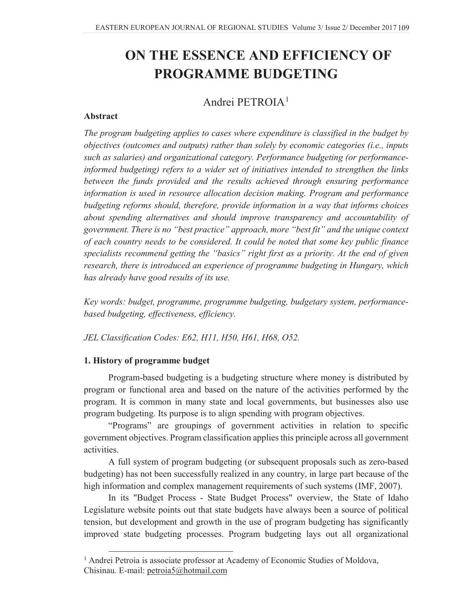# **ON THE ESSENCE AND EFFICIENCY OF PROGRAMME BUDGETING**

# Andrei PETROIA<sup>1</sup>

## **Abstract**

*The program budgeting applies to cases where expenditure is classified in the budget by objectives (outcomes and outputs) rather than solely by economic categories (i.e., inputs such as salaries) and organizational category. Performance budgeting (or performanceinformed budgeting) refers to a wider set of initiatives intended to strengthen the links between the funds provided and the results achieved through ensuring performance information is used in resource allocation decision making. Program and performance budgeting reforms should, therefore, provide information in a way that informs choices about spending alternatives and should improve transparency and accountability of government. There is no "best practice" approach, more "best fit" and the unique context of each country needs to be considered. It could be noted that some key public finance specialists recommend getting the "basics" right first as a priority. At the end of given research, there is introduced an experience of programme budgeting in Hungary, which has already have good results of its use.* 

*Key words: budget, programme, programme budgeting, budgetary system, performancebased budgeting, effectiveness, efficiency.*

*JEL Classification Codes: E62, H11, H50, H61, H68, O52.*

## **1. History of programme budget**

Program-based budgeting is a budgeting structure where money is distributed by program or functional area and based on the nature of the activities performed by the program. It is common in many state and local governments, but businesses also use program budgeting. Its purpose is to align spending with program objectives.

"Programs" are groupings of government activities in relation to specific government objectives. Program classification applies this principle across all government activities.

A full system of program budgeting (or subsequent proposals such as zero-based budgeting) has not been successfully realized in any country, in large part because of the high information and complex management requirements of such systems (IMF, 2007).

In its "Budget Process - State Budget Process" overview, the State of Idaho Legislature website points out that state budgets have always been a source of political tension, but development and growth in the use of program budgeting has significantly improved state budgeting processes. Program budgeting lays out all organizational

<sup>&</sup>lt;sup>1</sup> Andrei Petroia is associate professor at Academy of Economic Studies of Moldova, Chisinau. E-mail: petroia5@hotmail.com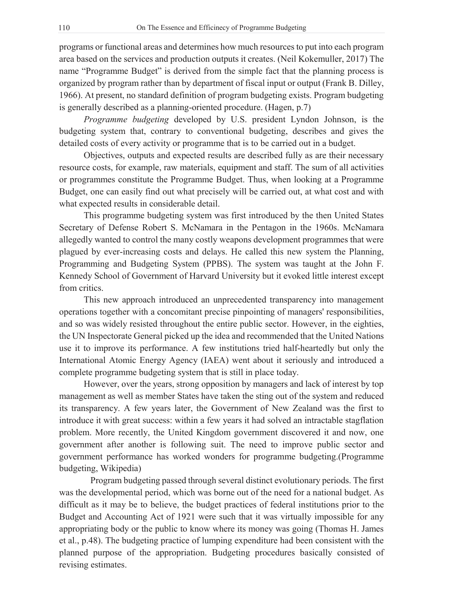programs or functional areas and determines how much resources to put into each program area based on the services and production outputs it creates. (Neil Kokemuller, 2017) The name "Programme Budget" is derived from the simple fact that the planning process is organized by program rather than by department of fiscal input or output (Frank B. Dilley, 1966). At present, no standard definition of program budgeting exists. Program budgeting is generally described as a planning-oriented procedure. (Hagen, p.7)

*Programme budgeting* developed by U.S. president Lyndon Johnson, is the budgeting system that, contrary to conventional budgeting, describes and gives the detailed costs of every activity or programme that is to be carried out in a budget.

Objectives, outputs and expected results are described fully as are their necessary resource costs, for example, raw materials, equipment and staff. The sum of all activities or programmes constitute the Programme Budget. Thus, when looking at a Programme Budget, one can easily find out what precisely will be carried out, at what cost and with what expected results in considerable detail.

This programme budgeting system was first introduced by the then United States Secretary of Defense Robert S. McNamara in the Pentagon in the 1960s. McNamara allegedly wanted to control the many costly weapons development programmes that were plagued by ever-increasing costs and delays. He called this new system the Planning, Programming and Budgeting System (PPBS). The system was taught at the John F. Kennedy School of Government of Harvard University but it evoked little interest except from critics.

This new approach introduced an unprecedented transparency into management operations together with a concomitant precise pinpointing of managers' responsibilities, and so was widely resisted throughout the entire public sector. However, in the eighties, the UN Inspectorate General picked up the idea and recommended that the United Nations use it to improve its performance. A few institutions tried half-heartedly but only the International Atomic Energy Agency (IAEA) went about it seriously and introduced a complete programme budgeting system that is still in place today.

However, over the years, strong opposition by managers and lack of interest by top management as well as member States have taken the sting out of the system and reduced its transparency. A few years later, the Government of New Zealand was the first to introduce it with great success: within a few years it had solved an intractable stagflation problem. More recently, the United Kingdom government discovered it and now, one government after another is following suit. The need to improve public sector and government performance has worked wonders for programme budgeting.(Programme budgeting, Wikipedia)

Program budgeting passed through several distinct evolutionary periods. The first was the developmental period, which was borne out of the need for a national budget. As difficult as it may be to believe, the budget practices of federal institutions prior to the Budget and Accounting Act of 1921 were such that it was virtually impossible for any appropriating body or the public to know where its money was going (Thomas H. James et al., p.48). The budgeting practice of lumping expenditure had been consistent with the planned purpose of the appropriation. Budgeting procedures basically consisted of revising estimates.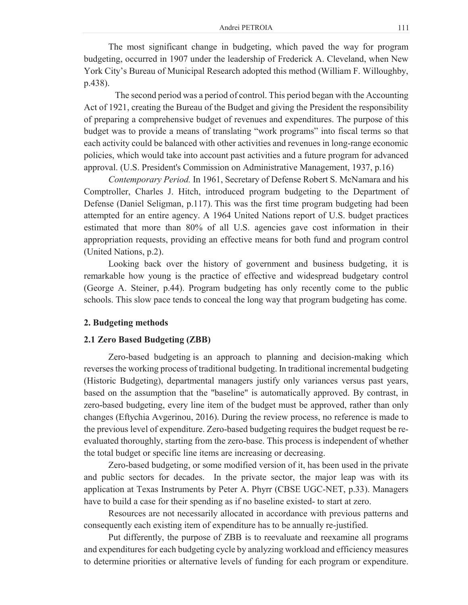The most significant change in budgeting, which paved the way for program budgeting, occurred in 1907 under the leadership of Frederick A. Cleveland, when New York City's Bureau of Municipal Research adopted this method (William F. Willoughby, p.438).

The second period was a period of control. This period began with the Accounting Act of 1921, creating the Bureau of the Budget and giving the President the responsibility of preparing a comprehensive budget of revenues and expenditures. The purpose of this budget was to provide a means of translating "work programs" into fiscal terms so that each activity could be balanced with other activities and revenues in long-range economic policies, which would take into account past activities and a future program for advanced approval. (U.S. President's Commission on Administrative Management, 1937, p.16)

*Contemporary Period.* In 1961, Secretary of Defense Robert S. McNamara and his Comptroller, Charles J. Hitch, introduced program budgeting to the Department of Defense (Daniel Seligman, p.117). This was the first time program budgeting had been attempted for an entire agency. A 1964 United Nations report of U.S. budget practices estimated that more than 80% of all U.S. agencies gave cost information in their appropriation requests, providing an effective means for both fund and program control (United Nations, p.2).

Looking back over the history of government and business budgeting, it is remarkable how young is the practice of effective and widespread budgetary control (George A. Steiner, p.44). Program budgeting has only recently come to the public schools. This slow pace tends to conceal the long way that program budgeting has come.

#### **2. Budgeting methods**

#### **2.1 Zero Based Budgeting (ZBB)**

Zero-based budgeting is an approach to planning and decision-making which reverses the working process of traditional budgeting. In traditional incremental budgeting (Historic Budgeting), departmental managers justify only variances versus past years, based on the assumption that the "baseline" is automatically approved. By contrast, in zero-based budgeting, every line item of the budget must be approved, rather than only changes (Eftychia Avgerinou, 2016). During the review process, no reference is made to the previous level of expenditure. Zero-based budgeting requires the budget request be reevaluated thoroughly, starting from the zero-base. This process is independent of whether the total budget or specific line items are increasing or decreasing.

Zero-based budgeting, or some modified version of it, has been used in the private and public sectors for decades. In the private sector, the major leap was with its application at Texas Instruments by Peter A. Phyrr (CBSE UGC-NET, p.33). Managers have to build a case for their spending as if no baseline existed- to start at zero.

Resources are not necessarily allocated in accordance with previous patterns and consequently each existing item of expenditure has to be annually re-justified.

Put differently, the purpose of ZBB is to reevaluate and reexamine all programs and expenditures for each budgeting cycle by analyzing workload and efficiency measures to determine priorities or alternative levels of funding for each program or expenditure.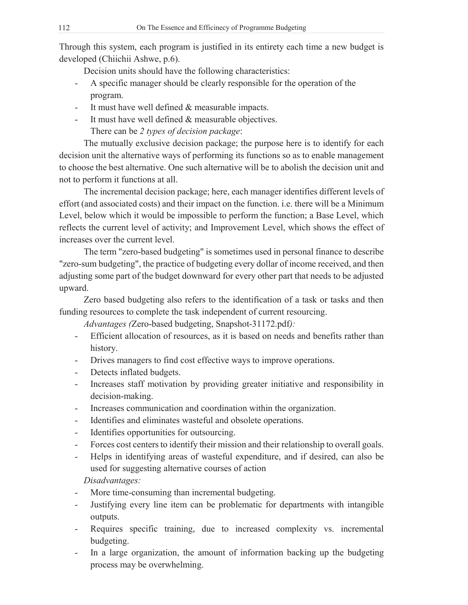Through this system, each program is justified in its entirety each time a new budget is developed (Chiichii Ashwe, p.6).

Decision units should have the following characteristics:

- A specific manager should be clearly responsible for the operation of the program.
- It must have well defined & measurable impacts.
- It must have well defined  $&$  measurable objectives.

There can be *2 types of decision package*:

The mutually exclusive decision package; the purpose here is to identify for each decision unit the alternative ways of performing its functions so as to enable management to choose the best alternative. One such alternative will be to abolish the decision unit and not to perform it functions at all.

The incremental decision package; here, each manager identifies different levels of effort (and associated costs) and their impact on the function. i.e. there will be a Minimum Level, below which it would be impossible to perform the function; a Base Level, which reflects the current level of activity; and Improvement Level, which shows the effect of increases over the current level.

The term "zero-based budgeting" is sometimes used in personal finance to describe "zero-sum budgeting", the practice of budgeting every dollar of income received, and then adjusting some part of the budget downward for every other part that needs to be adjusted upward.

Zero based budgeting also refers to the identification of a task or tasks and then funding resources to complete the task independent of current resourcing.

*Advantages (*Zero-based budgeting, Snapshot-31172.pdf*):*

- Efficient allocation of resources, as it is based on needs and benefits rather than history.
- Drives managers to find cost effective ways to improve operations.
- Detects inflated budgets.
- Increases staff motivation by providing greater initiative and responsibility in decision-making.
- Increases communication and coordination within the organization.
- Identifies and eliminates wasteful and obsolete operations.
- Identifies opportunities for outsourcing.
- Forces cost centers to identify their mission and their relationship to overall goals.
- Helps in identifying areas of wasteful expenditure, and if desired, can also be used for suggesting alternative courses of action

# *Disadvantages:*

- More time-consuming than incremental budgeting.
- Justifying every line item can be problematic for departments with intangible outputs.
- Requires specific training, due to increased complexity vs. incremental budgeting.
- In a large organization, the amount of information backing up the budgeting process may be overwhelming.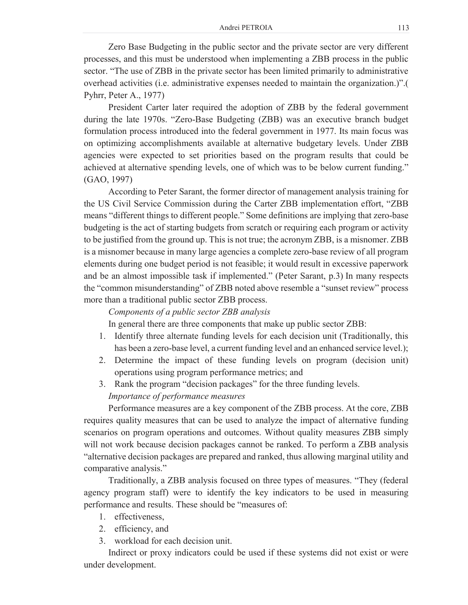Zero Base Budgeting in the public sector and the private sector are very different processes, and this must be understood when implementing a ZBB process in the public sector. "The use of ZBB in the private sector has been limited primarily to administrative overhead activities (i.e. administrative expenses needed to maintain the organization.)".( Pyhrr, Peter A., 1977)

President Carter later required the adoption of ZBB by the federal government during the late 1970s. "Zero-Base Budgeting (ZBB) was an executive branch budget formulation process introduced into the federal government in 1977. Its main focus was on optimizing accomplishments available at alternative budgetary levels. Under ZBB agencies were expected to set priorities based on the program results that could be achieved at alternative spending levels, one of which was to be below current funding." (GAO, 1997)

According to Peter Sarant, the former director of management analysis training for the US Civil Service Commission during the Carter ZBB implementation effort, "ZBB means "different things to different people." Some definitions are implying that zero-base budgeting is the act of starting budgets from scratch or requiring each program or activity to be justified from the ground up. This is not true; the acronym ZBB, is a misnomer. ZBB is a misnomer because in many large agencies a complete zero-base review of all program elements during one budget period is not feasible; it would result in excessive paperwork and be an almost impossible task if implemented." (Peter Sarant, p.3) In many respects the "common misunderstanding" of ZBB noted above resemble a "sunset review" process more than a traditional public sector ZBB process.

#### *Components of a public sector ZBB analysis*

In general there are three components that make up public sector ZBB:

- 1. Identify three alternate funding levels for each decision unit (Traditionally, this has been a zero-base level, a current funding level and an enhanced service level.);
- 2. Determine the impact of these funding levels on program (decision unit) operations using program performance metrics; and
- 3. Rank the program "decision packages" for the three funding levels. *Importance of performance measures*

Performance measures are a key component of the ZBB process. At the core, ZBB requires quality measures that can be used to analyze the impact of alternative funding scenarios on program operations and outcomes. Without quality measures ZBB simply will not work because decision packages cannot be ranked. To perform a ZBB analysis "alternative decision packages are prepared and ranked, thus allowing marginal utility and comparative analysis."

Traditionally, a ZBB analysis focused on three types of measures. "They (federal agency program staff) were to identify the key indicators to be used in measuring performance and results. These should be "measures of:

- 1. effectiveness,
- 2. efficiency, and
- 3. workload for each decision unit.

Indirect or proxy indicators could be used if these systems did not exist or were under development.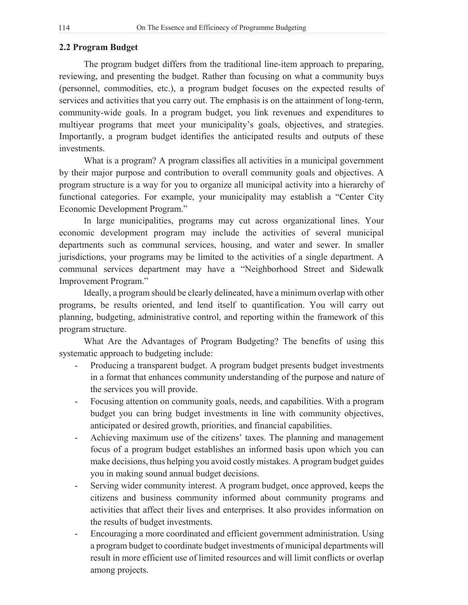### **2.2 Program Budget**

The program budget differs from the traditional line-item approach to preparing, reviewing, and presenting the budget. Rather than focusing on what a community buys (personnel, commodities, etc.), a program budget focuses on the expected results of services and activities that you carry out. The emphasis is on the attainment of long-term, community-wide goals. In a program budget, you link revenues and expenditures to multiyear programs that meet your municipality's goals, objectives, and strategies. Importantly, a program budget identifies the anticipated results and outputs of these investments.

What is a program? A program classifies all activities in a municipal government by their major purpose and contribution to overall community goals and objectives. A program structure is a way for you to organize all municipal activity into a hierarchy of functional categories. For example, your municipality may establish a "Center City Economic Development Program."

In large municipalities, programs may cut across organizational lines. Your economic development program may include the activities of several municipal departments such as communal services, housing, and water and sewer. In smaller jurisdictions, your programs may be limited to the activities of a single department. A communal services department may have a "Neighborhood Street and Sidewalk Improvement Program."

Ideally, a program should be clearly delineated, have a minimum overlap with other programs, be results oriented, and lend itself to quantification. You will carry out planning, budgeting, administrative control, and reporting within the framework of this program structure.

What Are the Advantages of Program Budgeting? The benefits of using this systematic approach to budgeting include:

- Producing a transparent budget. A program budget presents budget investments in a format that enhances community understanding of the purpose and nature of the services you will provide.
- Focusing attention on community goals, needs, and capabilities. With a program budget you can bring budget investments in line with community objectives, anticipated or desired growth, priorities, and financial capabilities.
- Achieving maximum use of the citizens' taxes. The planning and management focus of a program budget establishes an informed basis upon which you can make decisions, thus helping you avoid costly mistakes. A program budget guides you in making sound annual budget decisions.
- Serving wider community interest. A program budget, once approved, keeps the citizens and business community informed about community programs and activities that affect their lives and enterprises. It also provides information on the results of budget investments.
- Encouraging a more coordinated and efficient government administration. Using a program budget to coordinate budget investments of municipal departments will result in more efficient use of limited resources and will limit conflicts or overlap among projects.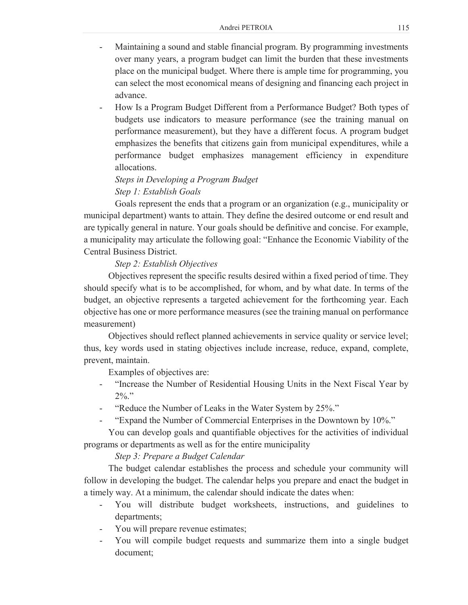- Maintaining a sound and stable financial program. By programming investments over many years, a program budget can limit the burden that these investments place on the municipal budget. Where there is ample time for programming, you can select the most economical means of designing and financing each project in advance.
- How Is a Program Budget Different from a Performance Budget? Both types of budgets use indicators to measure performance (see the training manual on performance measurement), but they have a different focus. A program budget emphasizes the benefits that citizens gain from municipal expenditures, while a performance budget emphasizes management efficiency in expenditure allocations.

*Steps in Developing a Program Budget Step 1: Establish Goals* 

Goals represent the ends that a program or an organization (e.g., municipality or municipal department) wants to attain. They define the desired outcome or end result and are typically general in nature. Your goals should be definitive and concise. For example, a municipality may articulate the following goal: "Enhance the Economic Viability of the Central Business District.

## *Step 2: Establish Objectives*

Objectives represent the specific results desired within a fixed period of time. They should specify what is to be accomplished, for whom, and by what date. In terms of the budget, an objective represents a targeted achievement for the forthcoming year. Each objective has one or more performance measures (see the training manual on performance measurement)

Objectives should reflect planned achievements in service quality or service level; thus, key words used in stating objectives include increase, reduce, expand, complete, prevent, maintain.

Examples of objectives are:

- "Increase the Number of Residential Housing Units in the Next Fiscal Year by  $2\%$ ."
- "Reduce the Number of Leaks in the Water System by 25%."
- "Expand the Number of Commercial Enterprises in the Downtown by 10%."

You can develop goals and quantifiable objectives for the activities of individual programs or departments as well as for the entire municipality

*Step 3: Prepare a Budget Calendar* 

The budget calendar establishes the process and schedule your community will follow in developing the budget. The calendar helps you prepare and enact the budget in a timely way. At a minimum, the calendar should indicate the dates when:

- You will distribute budget worksheets, instructions, and guidelines to departments;
- You will prepare revenue estimates;
- You will compile budget requests and summarize them into a single budget document;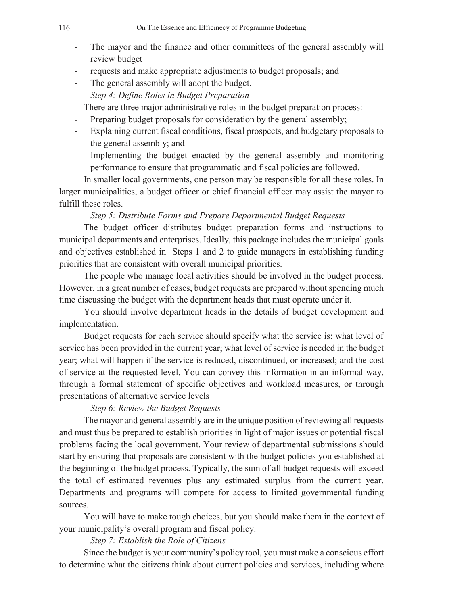- The mayor and the finance and other committees of the general assembly will review budget
- requests and make appropriate adjustments to budget proposals; and
- The general assembly will adopt the budget. *Step 4: Define Roles in Budget Preparation*

There are three major administrative roles in the budget preparation process:

- Preparing budget proposals for consideration by the general assembly;
- Explaining current fiscal conditions, fiscal prospects, and budgetary proposals to the general assembly; and
- Implementing the budget enacted by the general assembly and monitoring performance to ensure that programmatic and fiscal policies are followed.

In smaller local governments, one person may be responsible for all these roles. In larger municipalities, a budget officer or chief financial officer may assist the mayor to fulfill these roles.

## *Step 5: Distribute Forms and Prepare Departmental Budget Requests*

The budget officer distributes budget preparation forms and instructions to municipal departments and enterprises. Ideally, this package includes the municipal goals and objectives established in Steps 1 and 2 to guide managers in establishing funding priorities that are consistent with overall municipal priorities.

The people who manage local activities should be involved in the budget process. However, in a great number of cases, budget requests are prepared without spending much time discussing the budget with the department heads that must operate under it.

You should involve department heads in the details of budget development and implementation.

Budget requests for each service should specify what the service is; what level of service has been provided in the current year; what level of service is needed in the budget year; what will happen if the service is reduced, discontinued, or increased; and the cost of service at the requested level. You can convey this information in an informal way, through a formal statement of specific objectives and workload measures, or through presentations of alternative service levels

## *Step 6: Review the Budget Requests*

The mayor and general assembly are in the unique position of reviewing all requests and must thus be prepared to establish priorities in light of major issues or potential fiscal problems facing the local government. Your review of departmental submissions should start by ensuring that proposals are consistent with the budget policies you established at the beginning of the budget process. Typically, the sum of all budget requests will exceed the total of estimated revenues plus any estimated surplus from the current year. Departments and programs will compete for access to limited governmental funding sources.

You will have to make tough choices, but you should make them in the context of your municipality's overall program and fiscal policy.

## *Step 7: Establish the Role of Citizens*

Since the budget is your community's policy tool, you must make a conscious effort to determine what the citizens think about current policies and services, including where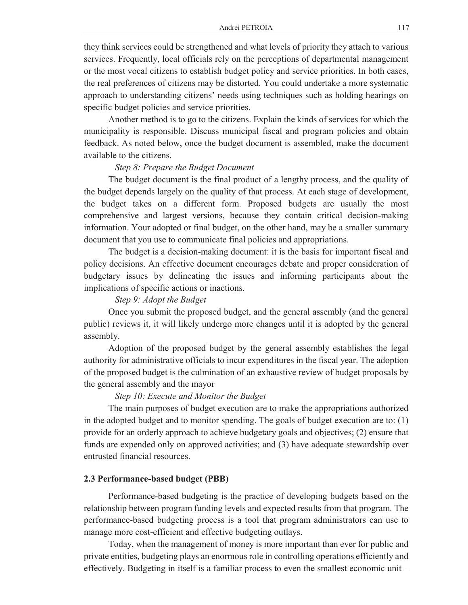they think services could be strengthened and what levels of priority they attach to various services. Frequently, local officials rely on the perceptions of departmental management or the most vocal citizens to establish budget policy and service priorities. In both cases, the real preferences of citizens may be distorted. You could undertake a more systematic approach to understanding citizens' needs using techniques such as holding hearings on specific budget policies and service priorities.

Another method is to go to the citizens. Explain the kinds of services for which the municipality is responsible. Discuss municipal fiscal and program policies and obtain feedback. As noted below, once the budget document is assembled, make the document available to the citizens.

#### *Step 8: Prepare the Budget Document*

The budget document is the final product of a lengthy process, and the quality of the budget depends largely on the quality of that process. At each stage of development, the budget takes on a different form. Proposed budgets are usually the most comprehensive and largest versions, because they contain critical decision-making information. Your adopted or final budget, on the other hand, may be a smaller summary document that you use to communicate final policies and appropriations.

The budget is a decision-making document: it is the basis for important fiscal and policy decisions. An effective document encourages debate and proper consideration of budgetary issues by delineating the issues and informing participants about the implications of specific actions or inactions.

#### *Step 9: Adopt the Budget*

Once you submit the proposed budget, and the general assembly (and the general public) reviews it, it will likely undergo more changes until it is adopted by the general assembly.

Adoption of the proposed budget by the general assembly establishes the legal authority for administrative officials to incur expenditures in the fiscal year. The adoption of the proposed budget is the culmination of an exhaustive review of budget proposals by the general assembly and the mayor

### *Step 10: Execute and Monitor the Budget*

The main purposes of budget execution are to make the appropriations authorized in the adopted budget and to monitor spending. The goals of budget execution are to: (1) provide for an orderly approach to achieve budgetary goals and objectives; (2) ensure that funds are expended only on approved activities; and (3) have adequate stewardship over entrusted financial resources.

#### **2.3 Performance-based budget (PBB)**

Performance-based budgeting is the practice of developing budgets based on the relationship between program funding levels and expected results from that program. The performance-based budgeting process is a tool that program administrators can use to manage more cost-efficient and effective budgeting outlays.

Today, when the management of money is more important than ever for public and private entities, budgeting plays an enormous role in controlling operations efficiently and effectively. Budgeting in itself is a familiar process to even the smallest economic unit –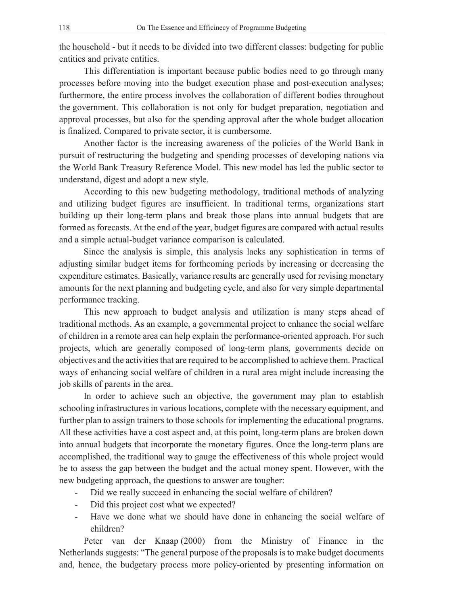the household - but it needs to be divided into two different classes: budgeting for public entities and private entities.

This differentiation is important because public bodies need to go through many processes before moving into the budget execution phase and post-execution analyses; furthermore, the entire process involves the collaboration of different bodies throughout the government. This collaboration is not only for budget preparation, negotiation and approval processes, but also for the spending approval after the whole budget allocation is finalized. Compared to private sector, it is cumbersome.

Another factor is the increasing awareness of the policies of the World Bank in pursuit of restructuring the budgeting and spending processes of developing nations via the World Bank Treasury Reference Model. This new model has led the public sector to understand, digest and adopt a new style.

According to this new budgeting methodology, traditional methods of analyzing and utilizing budget figures are insufficient. In traditional terms, organizations start building up their long-term plans and break those plans into annual budgets that are formed as forecasts. At the end of the year, budget figures are compared with actual results and a simple actual-budget variance comparison is calculated.

Since the analysis is simple, this analysis lacks any sophistication in terms of adjusting similar budget items for forthcoming periods by increasing or decreasing the expenditure estimates. Basically, variance results are generally used for revising monetary amounts for the next planning and budgeting cycle, and also for very simple departmental performance tracking.

This new approach to budget analysis and utilization is many steps ahead of traditional methods. As an example, a governmental project to enhance the social welfare of children in a remote area can help explain the performance-oriented approach. For such projects, which are generally composed of long-term plans, governments decide on objectives and the activities that are required to be accomplished to achieve them. Practical ways of enhancing social welfare of children in a rural area might include increasing the job skills of parents in the area.

In order to achieve such an objective, the government may plan to establish schooling infrastructures in various locations, complete with the necessary equipment, and further plan to assign trainers to those schools for implementing the educational programs. All these activities have a cost aspect and, at this point, long-term plans are broken down into annual budgets that incorporate the monetary figures. Once the long-term plans are accomplished, the traditional way to gauge the effectiveness of this whole project would be to assess the gap between the budget and the actual money spent. However, with the new budgeting approach, the questions to answer are tougher:

- Did we really succeed in enhancing the social welfare of children?
- Did this project cost what we expected?
- Have we done what we should have done in enhancing the social welfare of children?

Peter van der Knaap (2000) from the Ministry of Finance in the Netherlands suggests: "The general purpose of the proposals is to make budget documents and, hence, the budgetary process more policy-oriented by presenting information on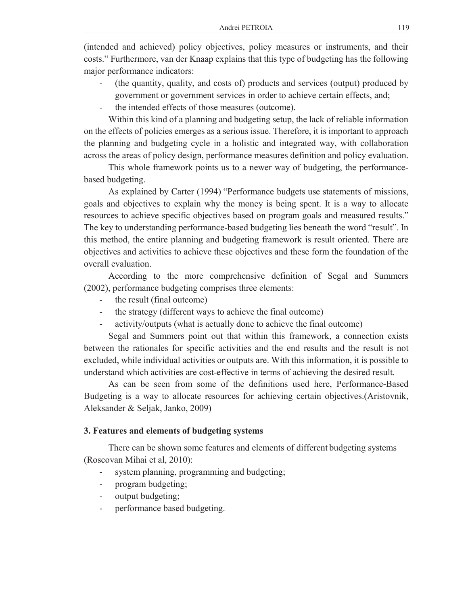(intended and achieved) policy objectives, policy measures or instruments, and their costs." Furthermore, van der Knaap explains that this type of budgeting has the following major performance indicators:

- (the quantity, quality, and costs of) products and services (output) produced by government or government services in order to achieve certain effects, and;
- the intended effects of those measures (outcome).

Within this kind of a planning and budgeting setup, the lack of reliable information on the effects of policies emerges as a serious issue. Therefore, it is important to approach the planning and budgeting cycle in a holistic and integrated way, with collaboration across the areas of policy design, performance measures definition and policy evaluation.

This whole framework points us to a newer way of budgeting, the performancebased budgeting.

As explained by Carter (1994) "Performance budgets use statements of missions, goals and objectives to explain why the money is being spent. It is a way to allocate resources to achieve specific objectives based on program goals and measured results." The key to understanding performance-based budgeting lies beneath the word "result". In this method, the entire planning and budgeting framework is result oriented. There are objectives and activities to achieve these objectives and these form the foundation of the overall evaluation.

According to the more comprehensive definition of Segal and Summers (2002), performance budgeting comprises three elements:

- the result (final outcome)
- the strategy (different ways to achieve the final outcome)
- activity/outputs (what is actually done to achieve the final outcome)

Segal and Summers point out that within this framework, a connection exists between the rationales for specific activities and the end results and the result is not excluded, while individual activities or outputs are. With this information, it is possible to understand which activities are cost-effective in terms of achieving the desired result.

As can be seen from some of the definitions used here, Performance-Based Budgeting is a way to allocate resources for achieving certain objectives.(Aristovnik, Aleksander & Seljak, Janko, 2009)

## **3. Features and elements of budgeting systems**

There can be shown some features and elements of different budgeting systems (Roscovan Mihai et al, 2010):

- system planning, programming and budgeting;
- program budgeting;
- output budgeting;
- performance based budgeting.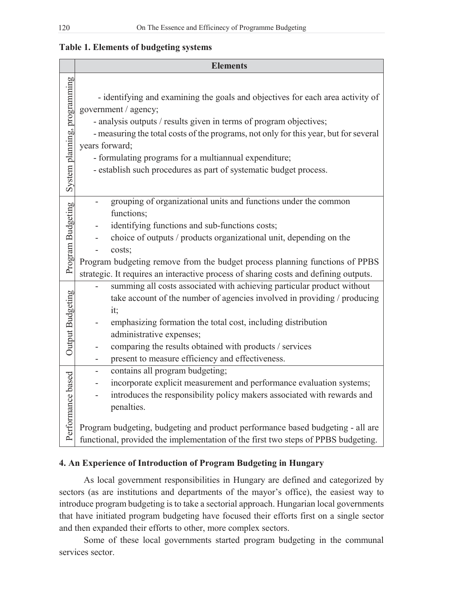# **Table 1. Elements of budgeting systems**

|                              | <b>Elements</b>                                                                                                                                                                                                                                                                                                                                                                                                      |
|------------------------------|----------------------------------------------------------------------------------------------------------------------------------------------------------------------------------------------------------------------------------------------------------------------------------------------------------------------------------------------------------------------------------------------------------------------|
| System planning, programming | - identifying and examining the goals and objectives for each area activity of<br>government / agency;<br>- analysis outputs / results given in terms of program objectives;<br>- measuring the total costs of the programs, not only for this year, but for several<br>years forward;<br>- formulating programs for a multiannual expenditure;<br>- establish such procedures as part of systematic budget process. |
| Program Budgeting            | grouping of organizational units and functions under the common<br>functions;<br>identifying functions and sub-functions costs;<br>choice of outputs / products organizational unit, depending on the<br>costs;<br>Program budgeting remove from the budget process planning functions of PPBS<br>strategic. It requires an interactive process of sharing costs and defining outputs.                               |
| Output Budgeting             | summing all costs associated with achieving particular product without<br>take account of the number of agencies involved in providing / producing<br>it;<br>emphasizing formation the total cost, including distribution<br>administrative expenses;<br>comparing the results obtained with products / services<br>present to measure efficiency and effectiveness.                                                 |
| Performance based            | contains all program budgeting;<br>incorporate explicit measurement and performance evaluation systems;<br>introduces the responsibility policy makers associated with rewards and<br>penalties.<br>Program budgeting, budgeting and product performance based budgeting - all are<br>functional, provided the implementation of the first two steps of PPBS budgeting.                                              |

## **4. An Experience of Introduction of Program Budgeting in Hungary**

As local government responsibilities in Hungary are defined and categorized by sectors (as are institutions and departments of the mayor's office), the easiest way to introduce program budgeting is to take a sectorial approach. Hungarian local governments that have initiated program budgeting have focused their efforts first on a single sector and then expanded their efforts to other, more complex sectors.

Some of these local governments started program budgeting in the communal services sector.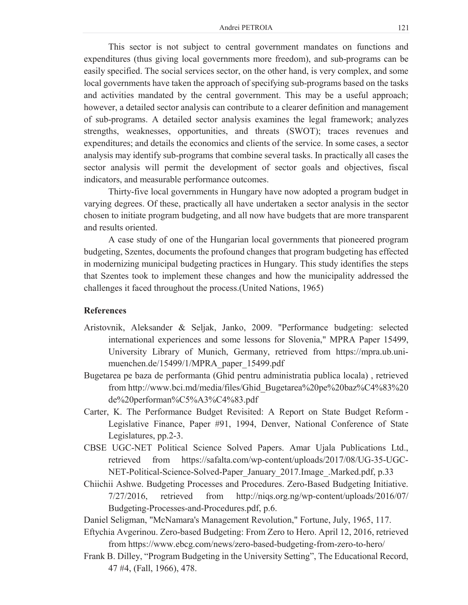This sector is not subject to central government mandates on functions and expenditures (thus giving local governments more freedom), and sub-programs can be easily specified. The social services sector, on the other hand, is very complex, and some local governments have taken the approach of specifying sub-programs based on the tasks and activities mandated by the central government. This may be a useful approach; however, a detailed sector analysis can contribute to a clearer definition and management of sub-programs. A detailed sector analysis examines the legal framework; analyzes strengths, weaknesses, opportunities, and threats (SWOT); traces revenues and expenditures; and details the economics and clients of the service. In some cases, a sector analysis may identify sub-programs that combine several tasks. In practically all cases the sector analysis will permit the development of sector goals and objectives, fiscal indicators, and measurable performance outcomes.

Thirty-five local governments in Hungary have now adopted a program budget in varying degrees. Of these, practically all have undertaken a sector analysis in the sector chosen to initiate program budgeting, and all now have budgets that are more transparent and results oriented.

A case study of one of the Hungarian local governments that pioneered program budgeting, Szentes, documents the profound changes that program budgeting has effected in modernizing municipal budgeting practices in Hungary. This study identifies the steps that Szentes took to implement these changes and how the municipality addressed the challenges it faced throughout the process.(United Nations, 1965)

#### **References**

- Aristovnik, Aleksander & Seljak, Janko, 2009. "Performance budgeting: selected international experiences and some lessons for Slovenia," MPRA Paper 15499, University Library of Munich, Germany, retrieved from https://mpra.ub.unimuenchen.de/15499/1/MPRA\_paper\_15499.pdf
- Bugetarea pe baza de performanta (Ghid pentru administratia publica locala) , retrieved from http://www.bci.md/media/files/Ghid\_Bugetarea%20pe%20baz%C4%83%20 de%20performan%C5%A3%C4%83.pdf
- Carter, K. The Performance Budget Revisited: A Report on State Budget Reform Legislative Finance, Paper #91, 1994, Denver, National Conference of State Legislatures, pp.2-3.
- CBSE UGC-NET Political Science Solved Papers. Amar Ujala Publications Ltd., retrieved from https://safalta.com/wp-content/uploads/2017/08/UG-35-UGC-NET-Political-Science-Solved-Paper\_January\_2017.Image\_.Marked.pdf, p.33
- Chiichii Ashwe. Budgeting Processes and Procedures. Zero-Based Budgeting Initiative. 7/27/2016, retrieved from http://niqs.org.ng/wp-content/uploads/2016/07/ Budgeting-Processes-and-Procedures.pdf, p.6.
- Daniel Seligman, "McNamara's Management Revolution," Fortune, July, 1965, 117.
- Eftychia Avgerinou. Zero-based Budgeting: From Zero to Hero. April 12, 2016, retrieved from https://www.ebcg.com/news/zero-based-budgeting-from-zero-to-hero/
- Frank B. Dilley, "Program Budgeting in the University Setting", The Educational Record, 47 #4, (Fall, 1966), 478.